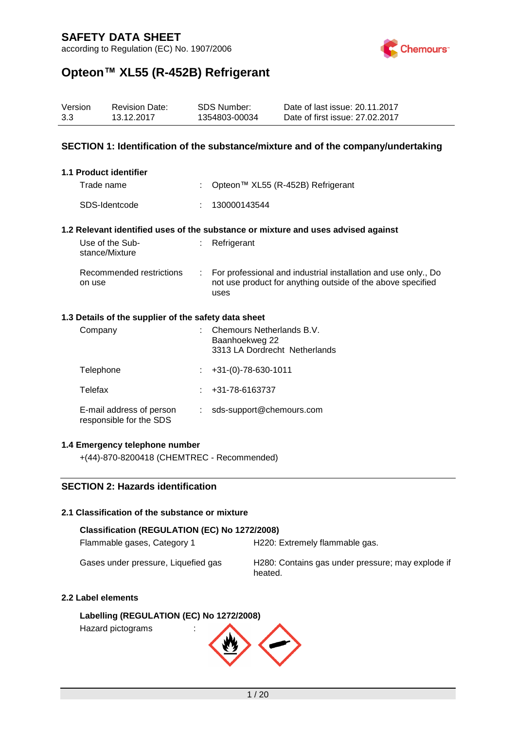according to Regulation (EC) No. 1907/2006



## **Opteon™ XL55 (R-452B) Refrigerant**

| 3.3                                                                                                                    | Version                | <b>Revision Date:</b><br>13.12.2017                  |                           | <b>SDS Number:</b><br>1354803-00034                                          | Date of last issue: 20.11.2017<br>Date of first issue: 27.02.2017                                                             |
|------------------------------------------------------------------------------------------------------------------------|------------------------|------------------------------------------------------|---------------------------|------------------------------------------------------------------------------|-------------------------------------------------------------------------------------------------------------------------------|
| SECTION 1: Identification of the substance/mixture and of the company/undertaking                                      |                        |                                                      |                           |                                                                              |                                                                                                                               |
|                                                                                                                        | 1.1 Product identifier |                                                      |                           |                                                                              |                                                                                                                               |
|                                                                                                                        | Trade name             |                                                      |                           |                                                                              | Opteon™ XL55 (R-452B) Refrigerant                                                                                             |
|                                                                                                                        | SDS-Identcode          |                                                      |                           | 130000143544                                                                 |                                                                                                                               |
| 1.2 Relevant identified uses of the substance or mixture and uses advised against<br>Use of the Sub-<br>stance/Mixture |                        |                                                      |                           | Refrigerant                                                                  |                                                                                                                               |
|                                                                                                                        | on use                 | Recommended restrictions                             | $\mathbb{R}^{\mathbb{Z}}$ | uses                                                                         | For professional and industrial installation and use only., Do<br>not use product for anything outside of the above specified |
|                                                                                                                        |                        | 1.3 Details of the supplier of the safety data sheet |                           |                                                                              |                                                                                                                               |
|                                                                                                                        | Company                |                                                      |                           | Chemours Netherlands B.V.<br>Baanhoekweg 22<br>3313 LA Dordrecht Netherlands |                                                                                                                               |
|                                                                                                                        | Telephone              |                                                      |                           | $+31-(0) - 78 - 630 - 1011$                                                  |                                                                                                                               |
|                                                                                                                        | Telefax                |                                                      |                           | +31-78-6163737                                                               |                                                                                                                               |

E-mail address of person : sds-support@chemours.com responsible for the SDS

#### **1.4 Emergency telephone number**

+(44)-870-8200418 (CHEMTREC - Recommended)

### **SECTION 2: Hazards identification**

#### **2.1 Classification of the substance or mixture**

#### **Classification (REGULATION (EC) No 1272/2008)**

Flammable gases, Category 1 H220: Extremely flammable gas.

Gases under pressure, Liquefied gas H280: Contains gas under pressure; may explode if heated.

#### **2.2 Label elements**

**Labelling (REGULATION (EC) No 1272/2008)** Hazard pictograms :

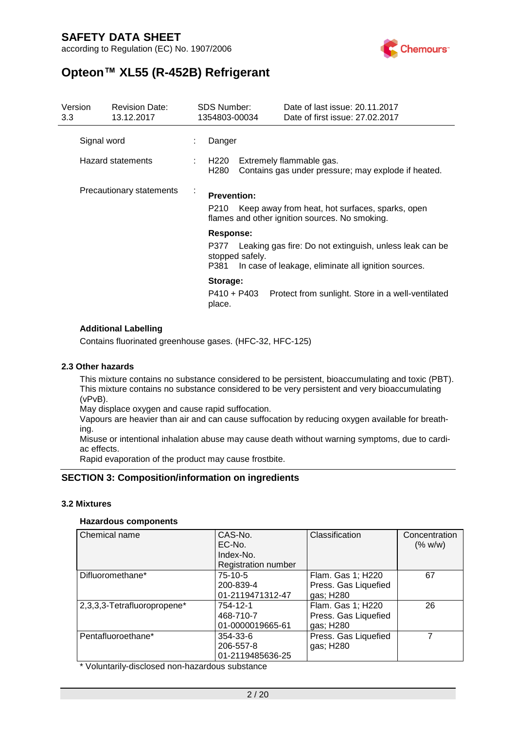according to Regulation (EC) No. 1907/2006



# **Opteon™ XL55 (R-452B) Refrigerant**

| Version<br>3.3           |  | <b>Revision Date:</b><br>13.12.2017 | <b>SDS Number:</b><br>1354803-00034 |                 | Date of last issue: 20.11.2017<br>Date of first issue: 27,02,2017                                                   |
|--------------------------|--|-------------------------------------|-------------------------------------|-----------------|---------------------------------------------------------------------------------------------------------------------|
| Signal word              |  |                                     | Danger                              |                 |                                                                                                                     |
|                          |  | Hazard statements                   | H220<br>H <sub>280</sub>            |                 | Extremely flammable gas.<br>Contains gas under pressure; may explode if heated.                                     |
| Precautionary statements |  |                                     | <b>Prevention:</b><br>P210          |                 | Keep away from heat, hot surfaces, sparks, open<br>flames and other ignition sources. No smoking.                   |
|                          |  |                                     | Response:                           |                 |                                                                                                                     |
|                          |  |                                     | P381                                | stopped safely. | P377 Leaking gas fire: Do not extinguish, unless leak can be<br>In case of leakage, eliminate all ignition sources. |
|                          |  |                                     | Storage:<br>P410 + P403<br>place.   |                 | Protect from sunlight. Store in a well-ventilated                                                                   |

#### **Additional Labelling**

Contains fluorinated greenhouse gases. (HFC-32, HFC-125)

#### **2.3 Other hazards**

This mixture contains no substance considered to be persistent, bioaccumulating and toxic (PBT). This mixture contains no substance considered to be very persistent and very bioaccumulating (vPvB).

May displace oxygen and cause rapid suffocation.

Vapours are heavier than air and can cause suffocation by reducing oxygen available for breathing.

Misuse or intentional inhalation abuse may cause death without warning symptoms, due to cardiac effects.

Rapid evaporation of the product may cause frostbite.

### **SECTION 3: Composition/information on ingredients**

#### **3.2 Mixtures**

#### **Hazardous components**

| Chemical name               | CAS-No.                    | Classification       | Concentration |
|-----------------------------|----------------------------|----------------------|---------------|
|                             | EC-No.                     |                      | (% w/w)       |
|                             | Index-No.                  |                      |               |
|                             | <b>Registration number</b> |                      |               |
| Difluoromethane*            | 75-10-5                    | Flam. Gas 1; H220    | 67            |
|                             | 200-839-4                  | Press. Gas Liquefied |               |
|                             | 01-2119471312-47           | gas; H280            |               |
| 2,3,3,3-Tetrafluoropropene* | 754-12-1                   | Flam. Gas 1; H220    | 26            |
|                             | 468-710-7                  | Press. Gas Liquefied |               |
|                             | 01-0000019665-61           | gas; H280            |               |
| Pentafluoroethane*          | 354-33-6                   | Press. Gas Liquefied | 7             |
|                             | 206-557-8                  | gas; H280            |               |
|                             | 01-2119485636-25           |                      |               |

\* Voluntarily-disclosed non-hazardous substance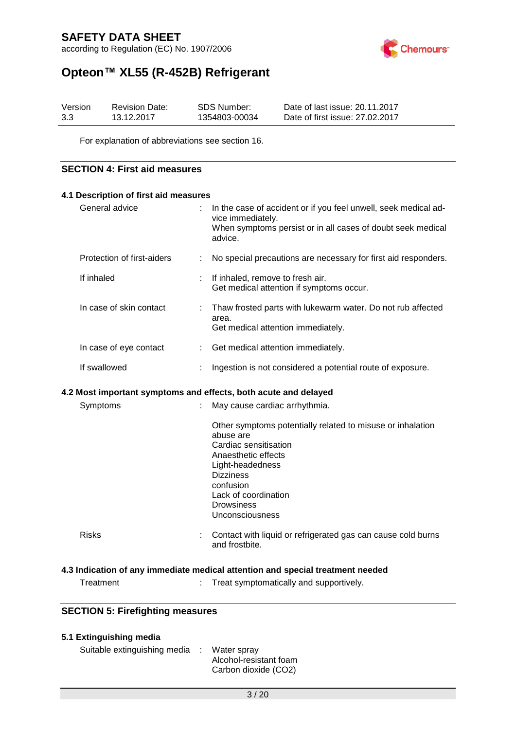according to Regulation (EC) No. 1907/2006



# **Opteon™ XL55 (R-452B) Refrigerant**

| Version | <b>Revision Date:</b> | SDS Number:   | Date of last issue: 20.11.2017  |
|---------|-----------------------|---------------|---------------------------------|
| 3.3     | 13.12.2017            | 1354803-00034 | Date of first issue: 27,02,2017 |

For explanation of abbreviations see section 16.

#### **SECTION 4: First aid measures**

| 4.1 Description of first aid measures                           |  |                                                                                                                                                                  |  |  |  |
|-----------------------------------------------------------------|--|------------------------------------------------------------------------------------------------------------------------------------------------------------------|--|--|--|
| General advice                                                  |  | : In the case of accident or if you feel unwell, seek medical ad-<br>vice immediately.<br>When symptoms persist or in all cases of doubt seek medical<br>advice. |  |  |  |
| Protection of first-aiders                                      |  | No special precautions are necessary for first aid responders.                                                                                                   |  |  |  |
| If inhaled                                                      |  | : If inhaled, remove to fresh air.<br>Get medical attention if symptoms occur.                                                                                   |  |  |  |
| In case of skin contact                                         |  | : Thaw frosted parts with lukewarm water. Do not rub affected<br>area.<br>Get medical attention immediately.                                                     |  |  |  |
| In case of eye contact                                          |  | : Get medical attention immediately.                                                                                                                             |  |  |  |
| If swallowed                                                    |  | Ingestion is not considered a potential route of exposure.                                                                                                       |  |  |  |
| 4.2 Most important symptoms and effects, both acute and delayed |  |                                                                                                                                                                  |  |  |  |
| Symptoms                                                        |  | May cause cardiac arrhythmia.                                                                                                                                    |  |  |  |
|                                                                 |  | Other symptoms potentially related to misuse or inhalation                                                                                                       |  |  |  |

|              | confusion<br>Lack of coordination<br><b>Drowsiness</b><br><b>Unconsciousness</b>     |
|--------------|--------------------------------------------------------------------------------------|
| <b>Risks</b> | Contact with liquid or refrigerated gas can cause cold burns<br>t.<br>and frostbite. |

Cardiac sensitisation Anaesthetic effects Light-headedness

#### **4.3 Indication of any immediate medical attention and special treatment needed**

abuse are

Dizziness

: Treat symptomatically and supportively.

### **SECTION 5: Firefighting measures**

### **5.1 Extinguishing media**

Suitable extinguishing media : Water spray Alcohol-resistant foam Carbon dioxide (CO2)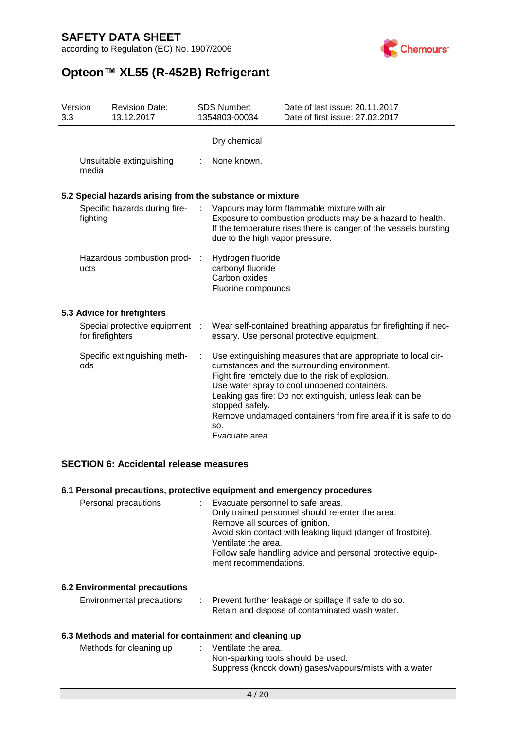

# **Opteon™ XL55 (R-452B) Refrigerant**

| Version<br>3.3 |                                                    | <b>Revision Date:</b><br>13.12.2017                       |                | <b>SDS Number:</b><br>1354803-00034                                           | Date of last issue: 20.11.2017<br>Date of first issue: 27.02.2017                                                                                                                                                                                                                                                                              |
|----------------|----------------------------------------------------|-----------------------------------------------------------|----------------|-------------------------------------------------------------------------------|------------------------------------------------------------------------------------------------------------------------------------------------------------------------------------------------------------------------------------------------------------------------------------------------------------------------------------------------|
|                |                                                    |                                                           |                | Dry chemical                                                                  |                                                                                                                                                                                                                                                                                                                                                |
|                | Unsuitable extinguishing<br>media                  |                                                           |                | None known.                                                                   |                                                                                                                                                                                                                                                                                                                                                |
|                |                                                    | 5.2 Special hazards arising from the substance or mixture |                |                                                                               |                                                                                                                                                                                                                                                                                                                                                |
|                | Specific hazards during fire-<br>fighting          |                                                           |                | due to the high vapor pressure.                                               | Vapours may form flammable mixture with air<br>Exposure to combustion products may be a hazard to health.<br>If the temperature rises there is danger of the vessels bursting                                                                                                                                                                  |
|                | ucts                                               | Hazardous combustion prod-                                | $\mathbb{R}^n$ | Hydrogen fluoride<br>carbonyl fluoride<br>Carbon oxides<br>Fluorine compounds |                                                                                                                                                                                                                                                                                                                                                |
|                |                                                    | 5.3 Advice for firefighters                               |                |                                                                               |                                                                                                                                                                                                                                                                                                                                                |
|                | Special protective equipment :<br>for firefighters |                                                           |                |                                                                               | Wear self-contained breathing apparatus for firefighting if nec-<br>essary. Use personal protective equipment.                                                                                                                                                                                                                                 |
|                | ods                                                | Specific extinguishing meth-                              | ÷              | stopped safely.<br>SO.<br>Evacuate area.                                      | Use extinguishing measures that are appropriate to local cir-<br>cumstances and the surrounding environment.<br>Fight fire remotely due to the risk of explosion.<br>Use water spray to cool unopened containers.<br>Leaking gas fire: Do not extinguish, unless leak can be<br>Remove undamaged containers from fire area if it is safe to do |

### **SECTION 6: Accidental release measures**

### **6.1 Personal precautions, protective equipment and emergency procedures**

| Personal precautions | : Evacuate personnel to safe areas.<br>Only trained personnel should re-enter the area.<br>Remove all sources of ignition.<br>Avoid skin contact with leaking liquid (danger of frostbite).<br>Ventilate the area.<br>Follow safe handling advice and personal protective equip-<br>ment recommendations. |
|----------------------|-----------------------------------------------------------------------------------------------------------------------------------------------------------------------------------------------------------------------------------------------------------------------------------------------------------|
|                      |                                                                                                                                                                                                                                                                                                           |

#### **6.2 Environmental precautions**

| Environmental precautions |  | Prevent further leakage or spillage if safe to do so. |
|---------------------------|--|-------------------------------------------------------|
|                           |  | Retain and dispose of contaminated wash water.        |

#### **6.3 Methods and material for containment and cleaning up**

| Methods for cleaning up | $\therefore$ Ventilate the area.                       |
|-------------------------|--------------------------------------------------------|
|                         | Non-sparking tools should be used.                     |
|                         | Suppress (knock down) gases/vapours/mists with a water |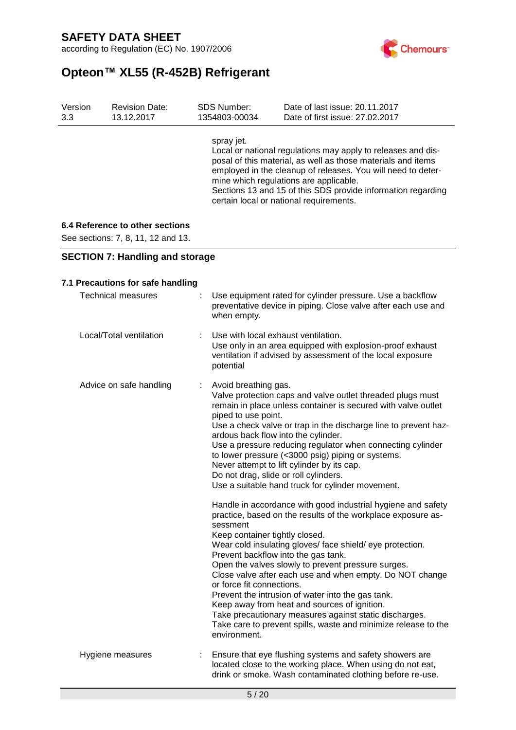according to Regulation (EC) No. 1907/2006



# **Opteon™ XL55 (R-452B) Refrigerant**

| Version | <b>Revision Date:</b> | <b>SDS Number:</b> | Date of last issue: 20.11.2017                                                                                                                                                                                                                                                                                                                    |
|---------|-----------------------|--------------------|---------------------------------------------------------------------------------------------------------------------------------------------------------------------------------------------------------------------------------------------------------------------------------------------------------------------------------------------------|
| 3.3     | 13.12.2017            | 1354803-00034      | Date of first issue: 27,02,2017                                                                                                                                                                                                                                                                                                                   |
|         |                       | spray jet.         | Local or national regulations may apply to releases and dis-<br>posal of this material, as well as those materials and items<br>employed in the cleanup of releases. You will need to deter-<br>mine which regulations are applicable.<br>Sections 13 and 15 of this SDS provide information regarding<br>certain local or national requirements. |

### **6.4 Reference to other sections**

See sections: 7, 8, 11, 12 and 13.

**SECTION 7: Handling and storage**

| 7.1 Precautions for safe handling |                                                                                                                                                                                                                                                                                                                                                                                                                                                                                                                                                                                                                                                                                                                                                                                                                                                                                                                                                                                                                                                                                                                                                                                                                                      |
|-----------------------------------|--------------------------------------------------------------------------------------------------------------------------------------------------------------------------------------------------------------------------------------------------------------------------------------------------------------------------------------------------------------------------------------------------------------------------------------------------------------------------------------------------------------------------------------------------------------------------------------------------------------------------------------------------------------------------------------------------------------------------------------------------------------------------------------------------------------------------------------------------------------------------------------------------------------------------------------------------------------------------------------------------------------------------------------------------------------------------------------------------------------------------------------------------------------------------------------------------------------------------------------|
| <b>Technical measures</b>         | Use equipment rated for cylinder pressure. Use a backflow<br>preventative device in piping. Close valve after each use and<br>when empty.                                                                                                                                                                                                                                                                                                                                                                                                                                                                                                                                                                                                                                                                                                                                                                                                                                                                                                                                                                                                                                                                                            |
| Local/Total ventilation           | Use with local exhaust ventilation.<br>Use only in an area equipped with explosion-proof exhaust<br>ventilation if advised by assessment of the local exposure<br>potential                                                                                                                                                                                                                                                                                                                                                                                                                                                                                                                                                                                                                                                                                                                                                                                                                                                                                                                                                                                                                                                          |
| Advice on safe handling<br>÷      | Avoid breathing gas.<br>Valve protection caps and valve outlet threaded plugs must<br>remain in place unless container is secured with valve outlet<br>piped to use point.<br>Use a check valve or trap in the discharge line to prevent haz-<br>ardous back flow into the cylinder.<br>Use a pressure reducing regulator when connecting cylinder<br>to lower pressure (<3000 psig) piping or systems.<br>Never attempt to lift cylinder by its cap.<br>Do not drag, slide or roll cylinders.<br>Use a suitable hand truck for cylinder movement.<br>Handle in accordance with good industrial hygiene and safety<br>practice, based on the results of the workplace exposure as-<br>sessment<br>Keep container tightly closed.<br>Wear cold insulating gloves/ face shield/ eye protection.<br>Prevent backflow into the gas tank.<br>Open the valves slowly to prevent pressure surges.<br>Close valve after each use and when empty. Do NOT change<br>or force fit connections.<br>Prevent the intrusion of water into the gas tank.<br>Keep away from heat and sources of ignition.<br>Take precautionary measures against static discharges.<br>Take care to prevent spills, waste and minimize release to the<br>environment. |
| Hygiene measures<br>÷             | Ensure that eye flushing systems and safety showers are<br>located close to the working place. When using do not eat,<br>drink or smoke. Wash contaminated clothing before re-use.                                                                                                                                                                                                                                                                                                                                                                                                                                                                                                                                                                                                                                                                                                                                                                                                                                                                                                                                                                                                                                                   |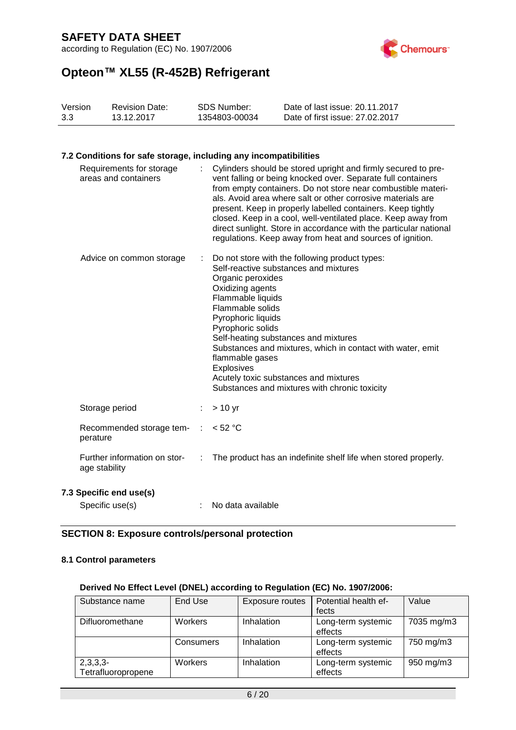according to Regulation (EC) No. 1907/2006



# **Opteon™ XL55 (R-452B) Refrigerant**

| Version | <b>Revision Date:</b> | SDS Number:   | Date of last issue: 20.11.2017  |
|---------|-----------------------|---------------|---------------------------------|
| 3.3     | 13.12.2017            | 1354803-00034 | Date of first issue: 27,02,2017 |

#### **7.2 Conditions for safe storage, including any incompatibilities**

| Requirements for storage<br>areas and containers |   | Cylinders should be stored upright and firmly secured to pre-<br>vent falling or being knocked over. Separate full containers<br>from empty containers. Do not store near combustible materi-<br>als. Avoid area where salt or other corrosive materials are<br>present. Keep in properly labelled containers. Keep tightly<br>closed. Keep in a cool, well-ventilated place. Keep away from<br>direct sunlight. Store in accordance with the particular national<br>regulations. Keep away from heat and sources of ignition. |
|--------------------------------------------------|---|--------------------------------------------------------------------------------------------------------------------------------------------------------------------------------------------------------------------------------------------------------------------------------------------------------------------------------------------------------------------------------------------------------------------------------------------------------------------------------------------------------------------------------|
| Advice on common storage                         | ÷ | Do not store with the following product types:<br>Self-reactive substances and mixtures<br>Organic peroxides<br>Oxidizing agents<br>Flammable liquids<br>Flammable solids<br>Pyrophoric liquids<br>Pyrophoric solids<br>Self-heating substances and mixtures<br>Substances and mixtures, which in contact with water, emit<br>flammable gases<br><b>Explosives</b><br>Acutely toxic substances and mixtures<br>Substances and mixtures with chronic toxicity                                                                   |
| Storage period                                   |   | $> 10$ yr                                                                                                                                                                                                                                                                                                                                                                                                                                                                                                                      |
| Recommended storage tem-<br>perature             |   | $<$ 52 °C                                                                                                                                                                                                                                                                                                                                                                                                                                                                                                                      |
| Further information on stor-<br>age stability    | ÷ | The product has an indefinite shelf life when stored properly.                                                                                                                                                                                                                                                                                                                                                                                                                                                                 |
| Specific end use(s)                              |   |                                                                                                                                                                                                                                                                                                                                                                                                                                                                                                                                |

# **7.3 Specific end use(s)**

| Specific use(s) |  | No data available |
|-----------------|--|-------------------|
|-----------------|--|-------------------|

#### **SECTION 8: Exposure controls/personal protection**

### **8.1 Control parameters**

#### **Derived No Effect Level (DNEL) according to Regulation (EC) No. 1907/2006:**

| Substance name     | End Use   | Exposure routes | Potential health ef- | Value      |
|--------------------|-----------|-----------------|----------------------|------------|
|                    |           |                 | fects                |            |
| Difluoromethane    | Workers   | Inhalation      | Long-term systemic   | 7035 mg/m3 |
|                    |           |                 | effects              |            |
|                    | Consumers | Inhalation      | Long-term systemic   | 750 mg/m3  |
|                    |           |                 | effects              |            |
| $2,3,3,3-$         | Workers   | Inhalation      | Long-term systemic   | 950 mg/m3  |
| Tetrafluoropropene |           |                 | effects              |            |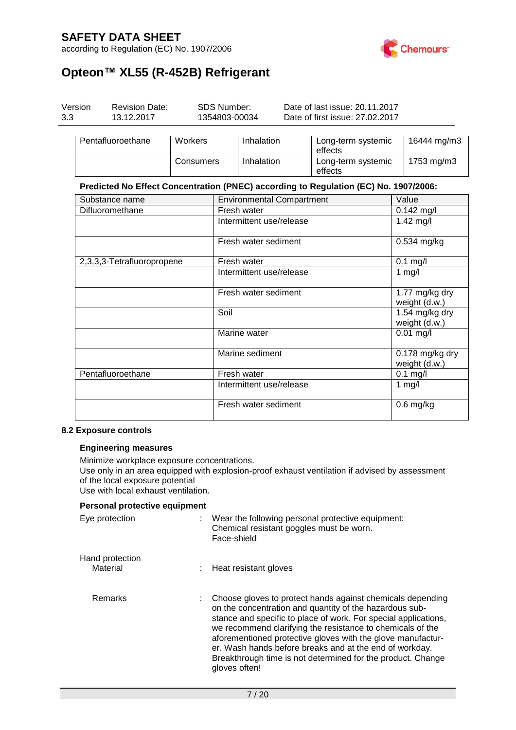according to Regulation (EC) No. 1907/2006



# **Opteon™ XL55 (R-452B) Refrigerant**

| Date of first issue: 27,02,2017<br>3.3<br>1354803-00034<br>13.12.2017 | Version | <b>Revision Date:</b> | SDS Number: | Date of last issue: 20.11.2017 |
|-----------------------------------------------------------------------|---------|-----------------------|-------------|--------------------------------|
|-----------------------------------------------------------------------|---------|-----------------------|-------------|--------------------------------|

| Pentafluoroethane | <b>Workers</b> | Inhalation | Long-term systemic<br>effects | 16444 mg/m3 |
|-------------------|----------------|------------|-------------------------------|-------------|
|                   | Consumers      | Inhalation | Long-term systemic<br>effects | 1753 mg/m3  |

#### **Predicted No Effect Concentration (PNEC) according to Regulation (EC) No. 1907/2006:**

| Substance name             | <b>Environmental Compartment</b> | Value                              |
|----------------------------|----------------------------------|------------------------------------|
| Difluoromethane            | Fresh water                      | $0.142$ mg/l                       |
|                            | Intermittent use/release         | $1.42$ mg/l                        |
|                            | Fresh water sediment             | 0.534 mg/kg                        |
| 2,3,3,3-Tetrafluoropropene | Fresh water                      | $0.1$ mg/l                         |
|                            | Intermittent use/release         | 1 $mg/l$                           |
|                            | Fresh water sediment             | 1.77 mg/kg dry<br>weight (d.w.)    |
|                            | Soil                             | 1.54 mg/kg dry<br>weight (d.w.)    |
|                            | Marine water                     | $0.01$ mg/l                        |
|                            | Marine sediment                  | $0.178$ mg/kg dry<br>weight (d.w.) |
| Pentafluoroethane          | Fresh water                      | $0.1$ mg/l                         |
|                            | Intermittent use/release         | 1 $mg/l$                           |
|                            | Fresh water sediment             | $0.6$ mg/kg                        |

#### **8.2 Exposure controls**

#### **Engineering measures**

Minimize workplace exposure concentrations. Use only in an area equipped with explosion-proof exhaust ventilation if advised by assessment of the local exposure potential Use with local exhaust ventilation.

#### **Personal protective equipment**

| Eye protection              | ÷ | Wear the following personal protective equipment:<br>Chemical resistant goggles must be worn.<br>Face-shield                                                                                                                                                                                                                                                                                                                                                     |
|-----------------------------|---|------------------------------------------------------------------------------------------------------------------------------------------------------------------------------------------------------------------------------------------------------------------------------------------------------------------------------------------------------------------------------------------------------------------------------------------------------------------|
| Hand protection<br>Material |   | Heat resistant gloves                                                                                                                                                                                                                                                                                                                                                                                                                                            |
| Remarks                     | ÷ | Choose gloves to protect hands against chemicals depending<br>on the concentration and quantity of the hazardous sub-<br>stance and specific to place of work. For special applications,<br>we recommend clarifying the resistance to chemicals of the<br>aforementioned protective gloves with the glove manufactur-<br>er. Wash hands before breaks and at the end of workday.<br>Breakthrough time is not determined for the product. Change<br>gloves often! |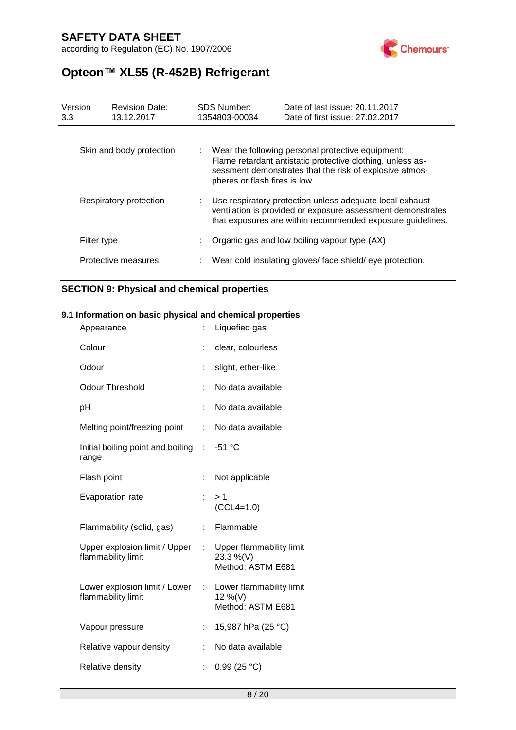according to Regulation (EC) No. 1907/2006



# **Opteon™ XL55 (R-452B) Refrigerant**

| Version<br>3.3 |             | <b>Revision Date:</b><br>13.12.2017 | <b>SDS Number:</b><br>1354803-00034 | Date of last issue: 20.11.2017<br>Date of first issue: 27,02,2017                                                                                                                       |
|----------------|-------------|-------------------------------------|-------------------------------------|-----------------------------------------------------------------------------------------------------------------------------------------------------------------------------------------|
|                |             | Skin and body protection            | pheres or flash fires is low        | : Wear the following personal protective equipment:<br>Flame retardant antistatic protective clothing, unless as-<br>sessment demonstrates that the risk of explosive atmos-            |
|                |             | Respiratory protection              |                                     | : Use respiratory protection unless adequate local exhaust<br>ventilation is provided or exposure assessment demonstrates<br>that exposures are within recommended exposure guidelines. |
|                | Filter type |                                     |                                     | Organic gas and low boiling vapour type (AX)                                                                                                                                            |
|                |             | Protective measures                 |                                     | : Wear cold insulating gloves/face shield/eye protection.                                                                                                                               |

### **SECTION 9: Physical and chemical properties**

### **9.1 Information on basic physical and chemical properties**

| Appearance                                          |    | Liquefied gas                                              |
|-----------------------------------------------------|----|------------------------------------------------------------|
| Colour                                              |    | clear, colourless                                          |
| Odour                                               |    | slight, ether-like                                         |
| <b>Odour Threshold</b>                              | ÷  | No data available                                          |
| рH                                                  | t  | No data available                                          |
| Melting point/freezing point                        | t. | No data available                                          |
| Initial boiling point and boiling :<br>range        |    | $-51$ °C                                                   |
| Flash point                                         | ÷  | Not applicable                                             |
| Evaporation rate                                    | ÷. | >1<br>$(CCL4=1.0)$                                         |
| Flammability (solid, gas)                           | t. | Flammable                                                  |
| Upper explosion limit / Upper<br>flammability limit | ÷  | Upper flammability limit<br>23.3 %(V)<br>Method: ASTM E681 |
| Lower explosion limit / Lower<br>flammability limit | t. | Lower flammability limit<br>12 %(V)<br>Method: ASTM E681   |
| Vapour pressure                                     | ÷  | 15,987 hPa (25 °C)                                         |
| Relative vapour density                             |    | No data available                                          |
| Relative density                                    | t. | 0.99(25 °C)                                                |
|                                                     |    |                                                            |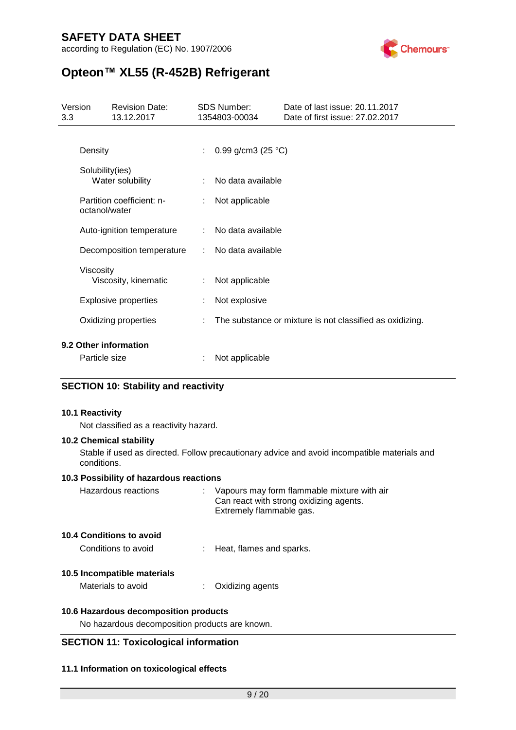according to Regulation (EC) No. 1907/2006



# **Opteon™ XL55 (R-452B) Refrigerant**

| Version<br>3.3 | <b>Revision Date:</b><br>13.12.2017        | <b>SDS Number:</b><br>1354803-00034 | Date of last issue: 20.11.2017<br>Date of first issue: 27.02.2017 |
|----------------|--------------------------------------------|-------------------------------------|-------------------------------------------------------------------|
|                | Density                                    | 0.99 g/cm3 (25 $^{\circ}$ C)        |                                                                   |
|                | Solubility(ies)<br>Water solubility        | No data available                   |                                                                   |
|                | Partition coefficient: n-<br>octanol/water | Not applicable                      |                                                                   |
|                | Auto-ignition temperature                  | No data available                   |                                                                   |
|                | Decomposition temperature                  | : No data available                 |                                                                   |
|                | Viscosity<br>Viscosity, kinematic          | Not applicable                      |                                                                   |
|                | <b>Explosive properties</b>                | Not explosive                       |                                                                   |
|                | Oxidizing properties                       |                                     | The substance or mixture is not classified as oxidizing.          |
|                | 9.2 Other information<br>Particle size     | Not applicable                      |                                                                   |

### **SECTION 10: Stability and reactivity**

#### **10.1 Reactivity**

Not classified as a reactivity hazard.

#### **10.2 Chemical stability**

Stable if used as directed. Follow precautionary advice and avoid incompatible materials and conditions.

#### **10.3 Possibility of hazardous reactions**

| Hazardous reactions      | Vapours may form flammable mixture with air<br>Can react with strong oxidizing agents.<br>Extremely flammable gas. |
|--------------------------|--------------------------------------------------------------------------------------------------------------------|
| 10.4 Conditions to avoid |                                                                                                                    |
| Conditions to avoid      | : Heat, flames and sparks.                                                                                         |

#### **10.5 Incompatible materials**

Materials to avoid : Oxidizing agents

#### **10.6 Hazardous decomposition products**

No hazardous decomposition products are known.

### **SECTION 11: Toxicological information**

#### **11.1 Information on toxicological effects**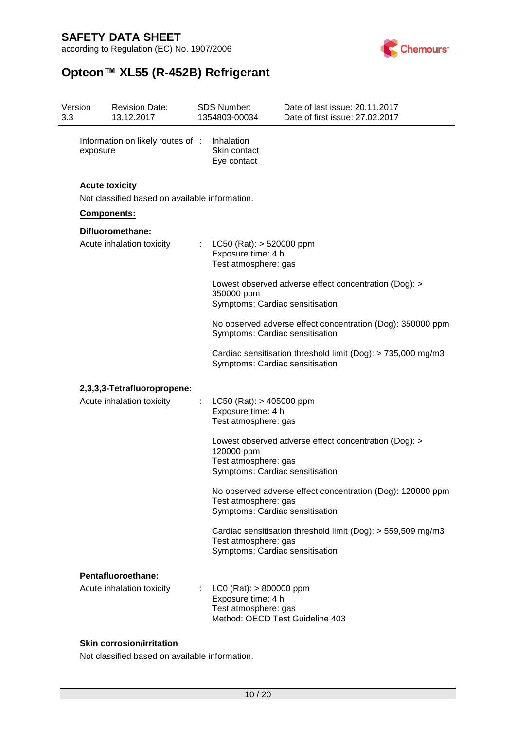according to Regulation (EC) No. 1907/2006



# **Opteon™ XL55 (R-452B) Refrigerant**

| Version<br>3.3 |          | <b>Revision Date:</b><br>13.12.2017                                     |   | <b>SDS Number:</b><br>1354803-00034                                                                          | Date of last issue: 20.11.2017<br>Date of first issue: 27,02,2017 |
|----------------|----------|-------------------------------------------------------------------------|---|--------------------------------------------------------------------------------------------------------------|-------------------------------------------------------------------|
|                | exposure | Information on likely routes of :                                       |   | Inhalation<br>Skin contact<br>Eye contact                                                                    |                                                                   |
|                |          | <b>Acute toxicity</b><br>Not classified based on available information. |   |                                                                                                              |                                                                   |
|                |          | <b>Components:</b>                                                      |   |                                                                                                              |                                                                   |
|                |          | Difluoromethane:                                                        |   |                                                                                                              |                                                                   |
|                |          | Acute inhalation toxicity                                               | ÷ | $LC50$ (Rat): $> 520000$ ppm<br>Exposure time: 4 h<br>Test atmosphere: gas                                   |                                                                   |
|                |          |                                                                         |   | 350000 ppm<br>Symptoms: Cardiac sensitisation                                                                | Lowest observed adverse effect concentration (Dog): >             |
|                |          |                                                                         |   | Symptoms: Cardiac sensitisation                                                                              | No observed adverse effect concentration (Dog): 350000 ppm        |
|                |          |                                                                         |   | Symptoms: Cardiac sensitisation                                                                              | Cardiac sensitisation threshold limit (Dog): > 735,000 mg/m3      |
|                |          | 2,3,3,3-Tetrafluoropropene:                                             |   |                                                                                                              |                                                                   |
|                |          | Acute inhalation toxicity                                               |   | $LC50$ (Rat): $> 405000$ ppm<br>Exposure time: 4 h<br>Test atmosphere: gas                                   |                                                                   |
|                |          |                                                                         |   | 120000 ppm<br>Test atmosphere: gas<br>Symptoms: Cardiac sensitisation                                        | Lowest observed adverse effect concentration (Dog): >             |
|                |          |                                                                         |   | Test atmosphere: gas<br>Symptoms: Cardiac sensitisation                                                      | No observed adverse effect concentration (Dog): 120000 ppm        |
|                |          |                                                                         |   | Test atmosphere: gas<br>Symptoms: Cardiac sensitisation                                                      | Cardiac sensitisation threshold limit (Dog): > 559,509 mg/m3      |
|                |          | Pentafluoroethane:                                                      |   |                                                                                                              |                                                                   |
|                |          | Acute inhalation toxicity                                               |   | $LCO$ (Rat): $> 800000$ ppm<br>Exposure time: 4 h<br>Test atmosphere: gas<br>Method: OECD Test Guideline 403 |                                                                   |

### **Skin corrosion/irritation**

Not classified based on available information.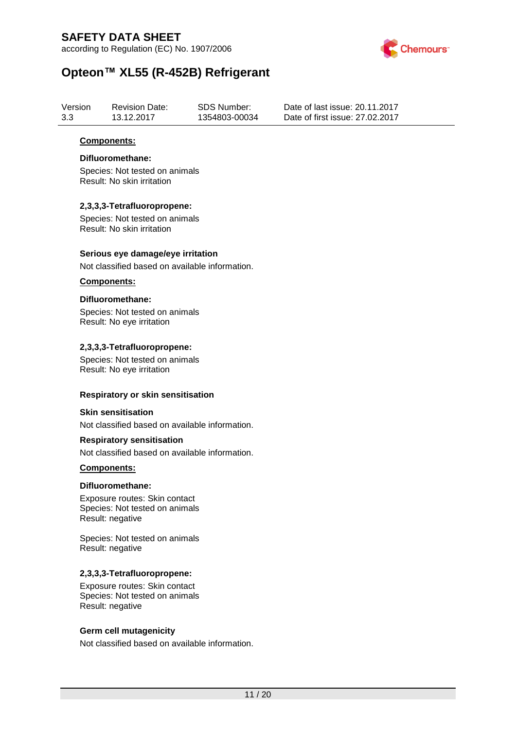according to Regulation (EC) No. 1907/2006



# **Opteon™ XL55 (R-452B) Refrigerant**

| Version | <b>Revision Date:</b> | SDS Number:   | Date of last issue: 20.11.2017  |
|---------|-----------------------|---------------|---------------------------------|
| 3.3     | 13.12.2017            | 1354803-00034 | Date of first issue: 27.02.2017 |

#### **Components:**

#### **Difluoromethane:**

Species: Not tested on animals Result: No skin irritation

#### **2,3,3,3-Tetrafluoropropene:**

Species: Not tested on animals Result: No skin irritation

#### **Serious eye damage/eye irritation**

Not classified based on available information.

#### **Components:**

#### **Difluoromethane:**

Species: Not tested on animals Result: No eye irritation

#### **2,3,3,3-Tetrafluoropropene:**

Species: Not tested on animals Result: No eye irritation

#### **Respiratory or skin sensitisation**

#### **Skin sensitisation**

Not classified based on available information.

#### **Respiratory sensitisation**

Not classified based on available information.

#### **Components:**

#### **Difluoromethane:**

Exposure routes: Skin contact Species: Not tested on animals Result: negative

Species: Not tested on animals Result: negative

#### **2,3,3,3-Tetrafluoropropene:**

Exposure routes: Skin contact Species: Not tested on animals Result: negative

### **Germ cell mutagenicity**

Not classified based on available information.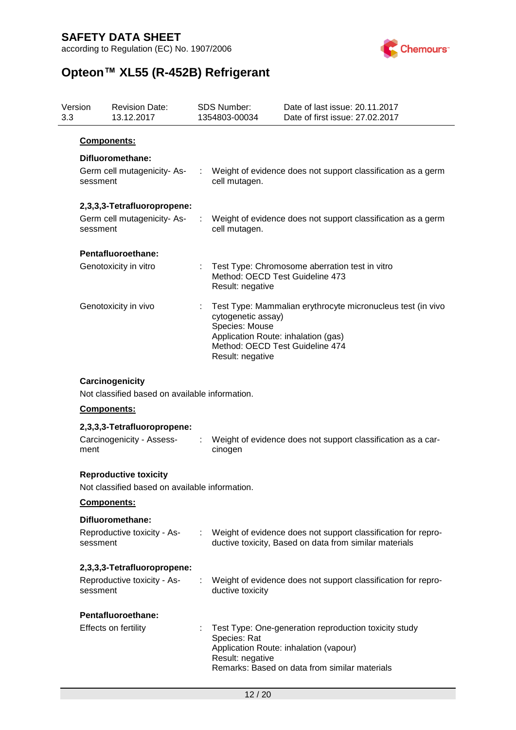according to Regulation (EC) No. 1907/2006



# **Opteon™ XL55 (R-452B) Refrigerant**

| Version<br>3.3 |                    | <b>Revision Date:</b><br>13.12.2017                                            | <b>SDS Number:</b><br>1354803-00034                                                                                                | Date of last issue: 20.11.2017<br>Date of first issue: 27.02.2017                                                                                |
|----------------|--------------------|--------------------------------------------------------------------------------|------------------------------------------------------------------------------------------------------------------------------------|--------------------------------------------------------------------------------------------------------------------------------------------------|
|                | <b>Components:</b> |                                                                                |                                                                                                                                    |                                                                                                                                                  |
|                |                    | Difluoromethane:                                                               |                                                                                                                                    |                                                                                                                                                  |
|                | sessment           | Germ cell mutagenicity-As-                                                     | cell mutagen.                                                                                                                      | Weight of evidence does not support classification as a germ                                                                                     |
|                |                    | 2,3,3,3-Tetrafluoropropene:                                                    |                                                                                                                                    |                                                                                                                                                  |
|                | sessment           | Germ cell mutagenicity-As-                                                     | cell mutagen.                                                                                                                      | Weight of evidence does not support classification as a germ                                                                                     |
|                |                    | Pentafluoroethane:                                                             |                                                                                                                                    |                                                                                                                                                  |
|                |                    | Genotoxicity in vitro                                                          | Method: OECD Test Guideline 473<br>Result: negative                                                                                | Test Type: Chromosome aberration test in vitro                                                                                                   |
|                |                    | Genotoxicity in vivo                                                           | cytogenetic assay)<br>Species: Mouse<br>Application Route: inhalation (gas)<br>Method: OECD Test Guideline 474<br>Result: negative | Test Type: Mammalian erythrocyte micronucleus test (in vivo                                                                                      |
|                |                    | Carcinogenicity<br>Not classified based on available information.              |                                                                                                                                    |                                                                                                                                                  |
|                | <b>Components:</b> |                                                                                |                                                                                                                                    |                                                                                                                                                  |
|                |                    | 2,3,3,3-Tetrafluoropropene:                                                    |                                                                                                                                    |                                                                                                                                                  |
|                | ment               | Carcinogenicity - Assess-                                                      | cinogen                                                                                                                            | Weight of evidence does not support classification as a car-                                                                                     |
|                |                    | <b>Reproductive toxicity</b><br>Not classified based on available information. |                                                                                                                                    |                                                                                                                                                  |
|                | Components:        |                                                                                |                                                                                                                                    |                                                                                                                                                  |
|                | sessment           | Difluoromethane:<br>Reproductive toxicity - As-                                |                                                                                                                                    | : Weight of evidence does not support classification for repro-<br>ductive toxicity, Based on data from similar materials                        |
|                |                    | 2,3,3,3-Tetrafluoropropene:                                                    |                                                                                                                                    |                                                                                                                                                  |
|                | sessment           | Reproductive toxicity - As-                                                    | ductive toxicity                                                                                                                   | Weight of evidence does not support classification for repro-                                                                                    |
|                |                    | Pentafluoroethane:                                                             |                                                                                                                                    |                                                                                                                                                  |
|                |                    | Effects on fertility                                                           | Species: Rat<br>Result: negative                                                                                                   | Test Type: One-generation reproduction toxicity study<br>Application Route: inhalation (vapour)<br>Remarks: Based on data from similar materials |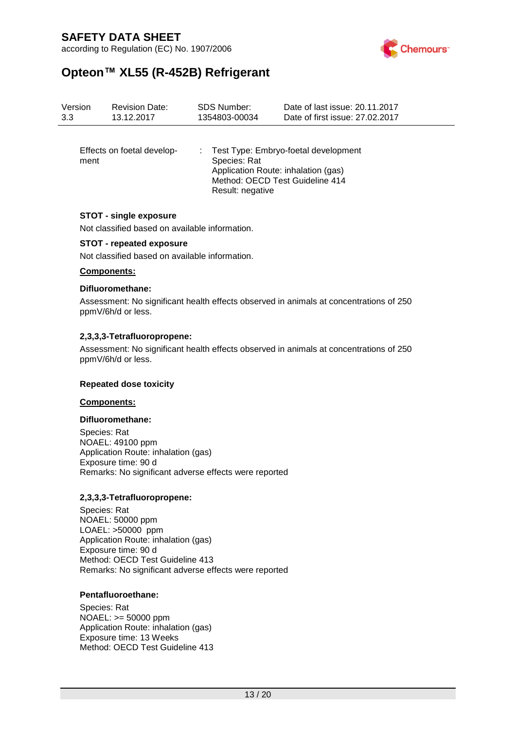according to Regulation (EC) No. 1907/2006



# **Opteon™ XL55 (R-452B) Refrigerant**

| Version<br>3.3 | <b>Revision Date:</b><br>13.12.2017 | <b>SDS Number:</b><br>1354803-00034 | Date of last issue: 20.11.2017<br>Date of first issue: 27,02,2017                                                |
|----------------|-------------------------------------|-------------------------------------|------------------------------------------------------------------------------------------------------------------|
| ment           | Effects on foetal develop-          | Species: Rat<br>Result: negative    | : Test Type: Embryo-foetal development<br>Application Route: inhalation (gas)<br>Method: OECD Test Guideline 414 |
|                | <b>STOT - single exposure</b>       |                                     |                                                                                                                  |

Not classified based on available information.

#### **STOT - repeated exposure**

Not classified based on available information.

#### **Components:**

#### **Difluoromethane:**

Assessment: No significant health effects observed in animals at concentrations of 250 ppmV/6h/d or less.

#### **2,3,3,3-Tetrafluoropropene:**

Assessment: No significant health effects observed in animals at concentrations of 250 ppmV/6h/d or less.

#### **Repeated dose toxicity**

#### **Components:**

#### **Difluoromethane:**

Species: Rat NOAEL: 49100 ppm Application Route: inhalation (gas) Exposure time: 90 d Remarks: No significant adverse effects were reported

#### **2,3,3,3-Tetrafluoropropene:**

Species: Rat NOAEL: 50000 ppm LOAEL: >50000 ppm Application Route: inhalation (gas) Exposure time: 90 d Method: OECD Test Guideline 413 Remarks: No significant adverse effects were reported

#### **Pentafluoroethane:**

Species: Rat NOAEL: >= 50000 ppm Application Route: inhalation (gas) Exposure time: 13 Weeks Method: OECD Test Guideline 413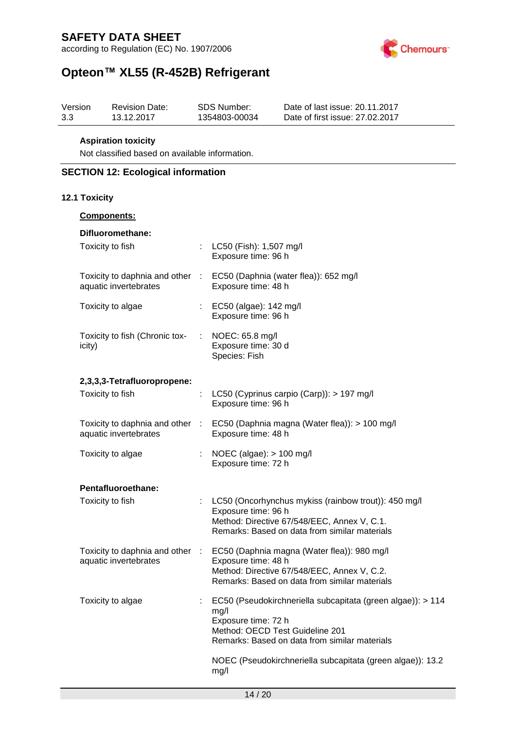according to Regulation (EC) No. 1907/2006



# **Opteon™ XL55 (R-452B) Refrigerant**

| Version | <b>Revision Date:</b> | SDS Number:   | Date of last issue: 20.11.2017  |
|---------|-----------------------|---------------|---------------------------------|
| 3.3     | 13.12.2017            | 1354803-00034 | Date of first issue: 27.02.2017 |

#### **Aspiration toxicity**

Not classified based on available information.

### **SECTION 12: Ecological information**

#### **12.1 Toxicity**

| <b>Components:</b>                                       |                                                                                                                                                                                |
|----------------------------------------------------------|--------------------------------------------------------------------------------------------------------------------------------------------------------------------------------|
| Difluoromethane:                                         |                                                                                                                                                                                |
| Toxicity to fish                                         | LC50 (Fish): 1,507 mg/l<br>Exposure time: 96 h                                                                                                                                 |
| aquatic invertebrates                                    | Toxicity to daphnia and other : EC50 (Daphnia (water flea)): 652 mg/l<br>Exposure time: 48 h                                                                                   |
| Toxicity to algae                                        | : EC50 (algae): 142 mg/l<br>Exposure time: 96 h                                                                                                                                |
| Toxicity to fish (Chronic tox-<br>icity)                 | $\therefore$ NOEC: 65.8 mg/l<br>Exposure time: 30 d<br>Species: Fish                                                                                                           |
| 2,3,3,3-Tetrafluoropropene:                              |                                                                                                                                                                                |
| Toxicity to fish                                         | LC50 (Cyprinus carpio (Carp)): > 197 mg/l<br>Exposure time: 96 h                                                                                                               |
| aquatic invertebrates                                    | Toxicity to daphnia and other : EC50 (Daphnia magna (Water flea)): > 100 mg/l<br>Exposure time: 48 h                                                                           |
| Toxicity to algae                                        | NOEC (algae): $> 100$ mg/l<br>Exposure time: 72 h                                                                                                                              |
| Pentafluoroethane:                                       |                                                                                                                                                                                |
| Toxicity to fish                                         | LC50 (Oncorhynchus mykiss (rainbow trout)): 450 mg/l<br>Exposure time: 96 h<br>Method: Directive 67/548/EEC, Annex V, C.1.<br>Remarks: Based on data from similar materials    |
| Toxicity to daphnia and other :<br>aquatic invertebrates | EC50 (Daphnia magna (Water flea)): 980 mg/l<br>Exposure time: 48 h<br>Method: Directive 67/548/EEC, Annex V, C.2.<br>Remarks: Based on data from similar materials             |
| Toxicity to algae                                        | EC50 (Pseudokirchneriella subcapitata (green algae)): > 114<br>mg/l<br>Exposure time: 72 h<br>Method: OECD Test Guideline 201<br>Remarks: Based on data from similar materials |
|                                                          | NOEC (Pseudokirchneriella subcapitata (green algae)): 13.2<br>mg/l                                                                                                             |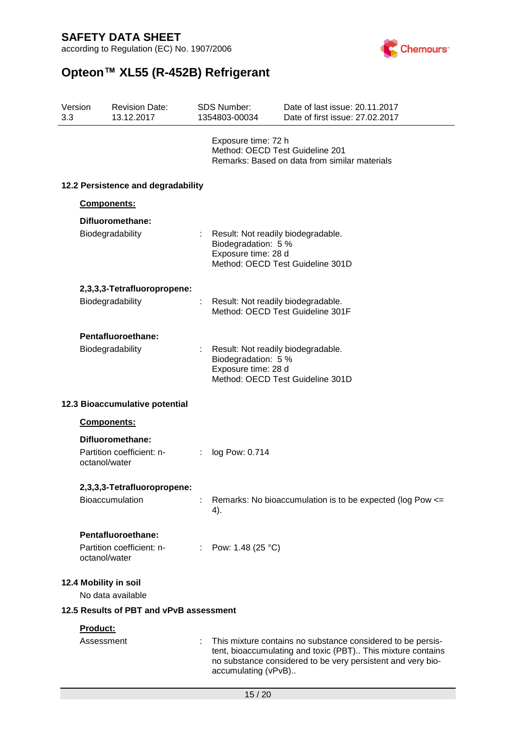according to Regulation (EC) No. 1907/2006



# **Opteon™ XL55 (R-452B) Refrigerant**

| 3.3 | Version       | <b>Revision Date:</b><br>13.12.2017     |    | <b>SDS Number:</b><br>1354803-00034                                              | Date of last issue: 20.11.2017<br>Date of first issue: 27,02,2017                                                                                                                         |
|-----|---------------|-----------------------------------------|----|----------------------------------------------------------------------------------|-------------------------------------------------------------------------------------------------------------------------------------------------------------------------------------------|
|     |               |                                         |    | Exposure time: 72 h<br>Method: OECD Test Guideline 201                           | Remarks: Based on data from similar materials                                                                                                                                             |
|     |               | 12.2 Persistence and degradability      |    |                                                                                  |                                                                                                                                                                                           |
|     |               | Components:                             |    |                                                                                  |                                                                                                                                                                                           |
|     |               | Difluoromethane:<br>Biodegradability    | ÷. | Result: Not readily biodegradable.<br>Biodegradation: 5 %<br>Exposure time: 28 d | Method: OECD Test Guideline 301D                                                                                                                                                          |
|     |               | 2,3,3,3-Tetrafluoropropene:             |    |                                                                                  |                                                                                                                                                                                           |
|     |               | Biodegradability                        | ÷. | Result: Not readily biodegradable.                                               | Method: OECD Test Guideline 301F                                                                                                                                                          |
|     |               | Pentafluoroethane:                      |    |                                                                                  |                                                                                                                                                                                           |
|     |               | Biodegradability                        |    | Result: Not readily biodegradable.<br>Biodegradation: 5 %<br>Exposure time: 28 d | Method: OECD Test Guideline 301D                                                                                                                                                          |
|     |               | 12.3 Bioaccumulative potential          |    |                                                                                  |                                                                                                                                                                                           |
|     |               | Components:                             |    |                                                                                  |                                                                                                                                                                                           |
|     |               | Difluoromethane:                        |    |                                                                                  |                                                                                                                                                                                           |
|     | octanol/water | Partition coefficient: n-               |    | log Pow: 0.714                                                                   |                                                                                                                                                                                           |
|     |               | 2,3,3,3-Tetrafluoropropene:             |    |                                                                                  |                                                                                                                                                                                           |
|     |               | Bioaccumulation                         |    | 4).                                                                              | Remarks: No bioaccumulation is to be expected (log Pow <=                                                                                                                                 |
|     |               | Pentafluoroethane:                      |    |                                                                                  |                                                                                                                                                                                           |
|     | octanol/water | Partition coefficient: n-               |    | Pow: 1.48 (25 °C)                                                                |                                                                                                                                                                                           |
|     |               | 12.4 Mobility in soil                   |    |                                                                                  |                                                                                                                                                                                           |
|     |               | No data available                       |    |                                                                                  |                                                                                                                                                                                           |
|     |               | 12.5 Results of PBT and vPvB assessment |    |                                                                                  |                                                                                                                                                                                           |
|     | Product:      |                                         |    |                                                                                  |                                                                                                                                                                                           |
|     | Assessment    |                                         |    | accumulating (vPvB)                                                              | This mixture contains no substance considered to be persis-<br>tent, bioaccumulating and toxic (PBT) This mixture contains<br>no substance considered to be very persistent and very bio- |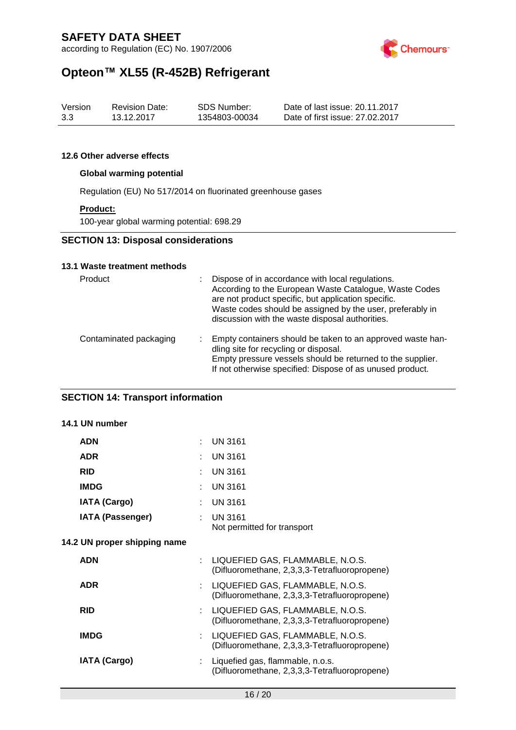

# **Opteon™ XL55 (R-452B) Refrigerant**

| Version | <b>Revision Date:</b> | SDS Number:   | Date of last issue: 20.11.2017  |
|---------|-----------------------|---------------|---------------------------------|
| 3.3     | 13.12.2017            | 1354803-00034 | Date of first issue: 27.02.2017 |

#### **12.6 Other adverse effects**

#### **Global warming potential**

Regulation (EU) No 517/2014 on fluorinated greenhouse gases

#### **Product:**

100-year global warming potential: 698.29

### **SECTION 13: Disposal considerations**

#### **13.1 Waste treatment methods**

| Product                | Dispose of in accordance with local regulations.<br>According to the European Waste Catalogue, Waste Codes<br>are not product specific, but application specific.<br>Waste codes should be assigned by the user, preferably in<br>discussion with the waste disposal authorities. |
|------------------------|-----------------------------------------------------------------------------------------------------------------------------------------------------------------------------------------------------------------------------------------------------------------------------------|
| Contaminated packaging | : Empty containers should be taken to an approved waste han-<br>dling site for recycling or disposal.<br>Empty pressure vessels should be returned to the supplier.<br>If not otherwise specified: Dispose of as unused product.                                                  |

### **SECTION 14: Transport information**

### **14.1 UN number**

| <b>ADN</b>                   |    | <b>UN 3161</b>                                                                    |
|------------------------------|----|-----------------------------------------------------------------------------------|
| <b>ADR</b>                   |    | <b>UN 3161</b>                                                                    |
| <b>RID</b>                   |    | <b>UN 3161</b>                                                                    |
| <b>IMDG</b>                  |    | <b>UN 3161</b>                                                                    |
| <b>IATA (Cargo)</b>          |    | <b>UN 3161</b>                                                                    |
| <b>IATA (Passenger)</b>      |    | <b>UN 3161</b><br>Not permitted for transport                                     |
| 14.2 UN proper shipping name |    |                                                                                   |
| <b>ADN</b>                   | ÷. | LIQUEFIED GAS, FLAMMABLE, N.O.S.<br>(Difluoromethane, 2,3,3,3-Tetrafluoropropene) |
| <b>ADR</b>                   |    | LIQUEFIED GAS, FLAMMABLE, N.O.S.<br>(Difluoromethane, 2,3,3,3-Tetrafluoropropene) |
| <b>RID</b>                   |    | LIQUEFIED GAS, FLAMMABLE, N.O.S.<br>(Difluoromethane, 2,3,3,3-Tetrafluoropropene) |
| <b>IMDG</b>                  |    | LIQUEFIED GAS, FLAMMABLE, N.O.S.<br>(Difluoromethane, 2,3,3,3-Tetrafluoropropene) |
| <b>IATA (Cargo)</b>          |    | Liquefied gas, flammable, n.o.s.<br>(Difluoromethane, 2,3,3,3-Tetrafluoropropene) |
|                              |    |                                                                                   |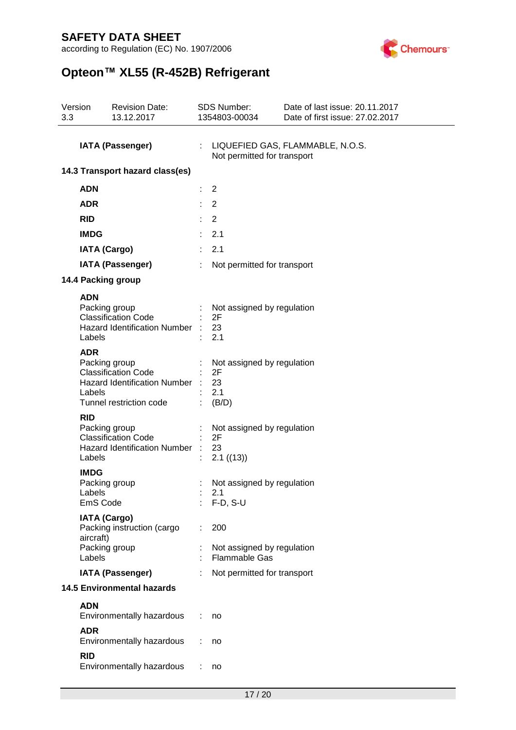according to Regulation (EC) No. 1907/2006



# **Opteon™ XL55 (R-452B) Refrigerant**

| 3.3                     | Version                           | <b>Revision Date:</b><br>13.12.2017                                                                           | <b>SDS Number:</b><br>1354803-00034                       | Date of last issue: 20.11.2017<br>Date of first issue: 27.02.2017 |
|-------------------------|-----------------------------------|---------------------------------------------------------------------------------------------------------------|-----------------------------------------------------------|-------------------------------------------------------------------|
| <b>IATA (Passenger)</b> |                                   | Not permitted for transport                                                                                   | LIQUEFIED GAS, FLAMMABLE, N.O.S.                          |                                                                   |
|                         |                                   | 14.3 Transport hazard class(es)                                                                               |                                                           |                                                                   |
|                         | <b>ADN</b>                        |                                                                                                               | 2                                                         |                                                                   |
|                         | <b>ADR</b>                        |                                                                                                               | $\overline{2}$                                            |                                                                   |
|                         | <b>RID</b>                        |                                                                                                               | $\overline{2}$                                            |                                                                   |
|                         | <b>IMDG</b>                       |                                                                                                               | 2.1                                                       |                                                                   |
|                         |                                   | <b>IATA (Cargo)</b>                                                                                           | 2.1                                                       |                                                                   |
|                         |                                   | <b>IATA (Passenger)</b>                                                                                       | Not permitted for transport                               |                                                                   |
|                         |                                   | 14.4 Packing group                                                                                            |                                                           |                                                                   |
|                         | <b>ADN</b><br>Labels              | Packing group<br><b>Classification Code</b><br><b>Hazard Identification Number</b>                            | Not assigned by regulation<br>2F<br>23<br>2.1             |                                                                   |
|                         | <b>ADR</b><br>Labels              | Packing group<br><b>Classification Code</b><br><b>Hazard Identification Number</b><br>Tunnel restriction code | Not assigned by regulation<br>2F<br>23<br>2.1<br>(B/D)    |                                                                   |
|                         | <b>RID</b><br>Labels              | Packing group<br><b>Classification Code</b><br><b>Hazard Identification Number</b>                            | Not assigned by regulation<br>2F<br>23<br>2.1 ((13))      |                                                                   |
|                         | <b>IMDG</b><br>Labels<br>EmS Code | Packing group                                                                                                 | Not assigned by regulation<br>2.1<br>$F-D, S-U$           |                                                                   |
|                         | aircraft)<br>Labels               | <b>IATA (Cargo)</b><br>Packing instruction (cargo<br>Packing group                                            | 200<br>Not assigned by regulation<br><b>Flammable Gas</b> |                                                                   |
|                         |                                   | <b>IATA (Passenger)</b>                                                                                       | Not permitted for transport                               |                                                                   |
|                         |                                   | <b>14.5 Environmental hazards</b>                                                                             |                                                           |                                                                   |
|                         | <b>ADN</b>                        |                                                                                                               |                                                           |                                                                   |
|                         |                                   | Environmentally hazardous                                                                                     | no                                                        |                                                                   |
|                         | <b>ADR</b>                        | Environmentally hazardous                                                                                     | no                                                        |                                                                   |
|                         | <b>RID</b>                        | Environmentally hazardous                                                                                     | no                                                        |                                                                   |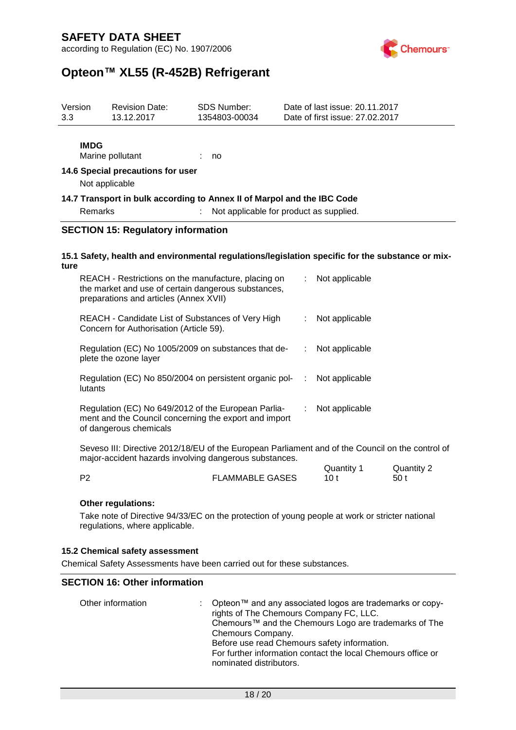according to Regulation (EC) No. 1907/2006



## **Opteon™ XL55 (R-452B) Refrigerant**

| Version<br>3.3                                                                                                                                                               |                                                                                                                                                                          | <b>Revision Date:</b><br>13.12.2017                                                              | <b>SDS Number:</b><br>1354803-00034     |    | Date of last issue: 20.11.2017<br>Date of first issue: 27.02.2017 |               |
|------------------------------------------------------------------------------------------------------------------------------------------------------------------------------|--------------------------------------------------------------------------------------------------------------------------------------------------------------------------|--------------------------------------------------------------------------------------------------|-----------------------------------------|----|-------------------------------------------------------------------|---------------|
|                                                                                                                                                                              | <b>IMDG</b>                                                                                                                                                              | Marine pollutant                                                                                 | no                                      |    |                                                                   |               |
|                                                                                                                                                                              | Not applicable                                                                                                                                                           | 14.6 Special precautions for user                                                                |                                         |    |                                                                   |               |
|                                                                                                                                                                              | Remarks                                                                                                                                                                  | 14.7 Transport in bulk according to Annex II of Marpol and the IBC Code                          | Not applicable for product as supplied. |    |                                                                   |               |
|                                                                                                                                                                              |                                                                                                                                                                          | <b>SECTION 15: Regulatory information</b>                                                        |                                         |    |                                                                   |               |
| ture                                                                                                                                                                         |                                                                                                                                                                          | 15.1 Safety, health and environmental regulations/legislation specific for the substance or mix- |                                         |    |                                                                   |               |
| REACH - Restrictions on the manufacture, placing on<br>Not applicable<br>÷.<br>the market and use of certain dangerous substances,<br>preparations and articles (Annex XVII) |                                                                                                                                                                          |                                                                                                  |                                         |    |                                                                   |               |
|                                                                                                                                                                              | REACH - Candidate List of Substances of Very High<br>Concern for Authorisation (Article 59).                                                                             |                                                                                                  |                                         | ÷  | Not applicable                                                    |               |
|                                                                                                                                                                              |                                                                                                                                                                          | Regulation (EC) No 1005/2009 on substances that de-<br>plete the ozone layer                     |                                         | ÷. | Not applicable                                                    |               |
|                                                                                                                                                                              | Regulation (EC) No 850/2004 on persistent organic pol-<br>lutants                                                                                                        |                                                                                                  |                                         | ÷. | Not applicable                                                    |               |
|                                                                                                                                                                              | Regulation (EC) No 649/2012 of the European Parlia-<br>ment and the Council concerning the export and import<br>of dangerous chemicals                                   |                                                                                                  |                                         | ÷. | Not applicable                                                    |               |
|                                                                                                                                                                              | Seveso III: Directive 2012/18/EU of the European Parliament and of the Council on the control of<br>major-accident hazards involving dangerous substances.<br>∩⊔antity 1 |                                                                                                  |                                         |    |                                                                   | $O$ uantity 2 |

|                |                        | Quantity 1 | Quantity 2 |
|----------------|------------------------|------------|------------|
| P <sub>2</sub> | <b>FLAMMABLE GASES</b> |            | 50t        |

#### **Other regulations:**

Take note of Directive 94/33/EC on the protection of young people at work or stricter national regulations, where applicable.

#### **15.2 Chemical safety assessment**

Chemical Safety Assessments have been carried out for these substances.

#### **SECTION 16: Other information**

| Other information | : Opteon <sup><math>m</math></sup> and any associated logos are trademarks or copy-<br>rights of The Chemours Company FC, LLC.<br>Chemours™ and the Chemours Logo are trademarks of The<br>Chemours Company.<br>Before use read Chemours safety information.<br>For further information contact the local Chemours office or |
|-------------------|------------------------------------------------------------------------------------------------------------------------------------------------------------------------------------------------------------------------------------------------------------------------------------------------------------------------------|
|                   | nominated distributors.                                                                                                                                                                                                                                                                                                      |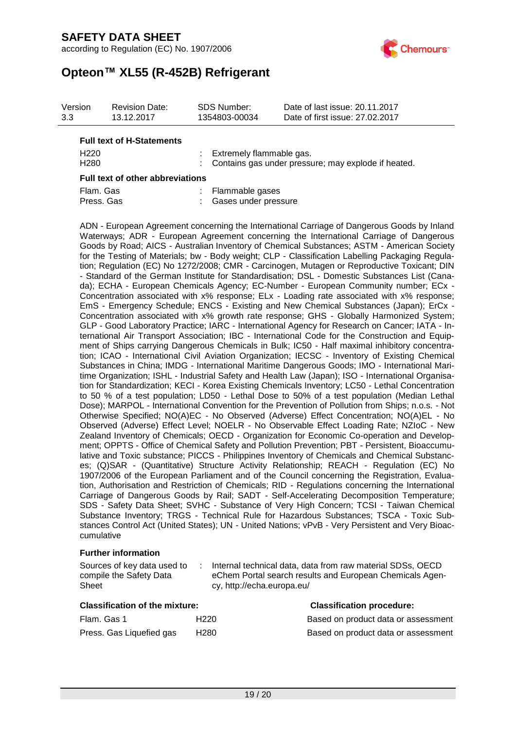

# **Opteon™ XL55 (R-452B) Refrigerant**

| Version<br>3.3   | <b>Revision Date:</b><br>13.12.2017 | SDS Number:<br>1354803-00034                          | Date of last issue: 20.11.2017<br>Date of first issue: 27.02.2017 |
|------------------|-------------------------------------|-------------------------------------------------------|-------------------------------------------------------------------|
|                  | <b>Full text of H-Statements</b>    |                                                       |                                                                   |
| H <sub>220</sub> |                                     | : Extremely flammable gas.                            |                                                                   |
| H <sub>280</sub> |                                     | : Contains gas under pressure; may explode if heated. |                                                                   |

#### **Full text of other abbreviations**

| Flam, Gas  | : Flammable gases      |
|------------|------------------------|
| Press, Gas | : Gases under pressure |

ADN - European Agreement concerning the International Carriage of Dangerous Goods by Inland Waterways; ADR - European Agreement concerning the International Carriage of Dangerous Goods by Road; AICS - Australian Inventory of Chemical Substances; ASTM - American Society for the Testing of Materials; bw - Body weight; CLP - Classification Labelling Packaging Regulation; Regulation (EC) No 1272/2008; CMR - Carcinogen, Mutagen or Reproductive Toxicant; DIN - Standard of the German Institute for Standardisation; DSL - Domestic Substances List (Canada); ECHA - European Chemicals Agency; EC-Number - European Community number; ECx - Concentration associated with x% response; ELx - Loading rate associated with x% response; EmS - Emergency Schedule; ENCS - Existing and New Chemical Substances (Japan); ErCx - Concentration associated with x% growth rate response; GHS - Globally Harmonized System; GLP - Good Laboratory Practice; IARC - International Agency for Research on Cancer; IATA - International Air Transport Association; IBC - International Code for the Construction and Equipment of Ships carrying Dangerous Chemicals in Bulk; IC50 - Half maximal inhibitory concentration; ICAO - International Civil Aviation Organization; IECSC - Inventory of Existing Chemical Substances in China; IMDG - International Maritime Dangerous Goods; IMO - International Maritime Organization; ISHL - Industrial Safety and Health Law (Japan); ISO - International Organisation for Standardization; KECI - Korea Existing Chemicals Inventory; LC50 - Lethal Concentration to 50 % of a test population; LD50 - Lethal Dose to 50% of a test population (Median Lethal Dose); MARPOL - International Convention for the Prevention of Pollution from Ships; n.o.s. - Not Otherwise Specified; NO(A)EC - No Observed (Adverse) Effect Concentration; NO(A)EL - No Observed (Adverse) Effect Level; NOELR - No Observable Effect Loading Rate; NZIoC - New Zealand Inventory of Chemicals; OECD - Organization for Economic Co-operation and Development; OPPTS - Office of Chemical Safety and Pollution Prevention; PBT - Persistent, Bioaccumulative and Toxic substance; PICCS - Philippines Inventory of Chemicals and Chemical Substances; (Q)SAR - (Quantitative) Structure Activity Relationship; REACH - Regulation (EC) No 1907/2006 of the European Parliament and of the Council concerning the Registration, Evaluation, Authorisation and Restriction of Chemicals; RID - Regulations concerning the International Carriage of Dangerous Goods by Rail; SADT - Self-Accelerating Decomposition Temperature; SDS - Safety Data Sheet; SVHC - Substance of Very High Concern; TCSI - Taiwan Chemical Substance Inventory; TRGS - Technical Rule for Hazardous Substances; TSCA - Toxic Substances Control Act (United States); UN - United Nations; vPvB - Very Persistent and Very Bioaccumulative

#### **Further information**

| Sources of key data used to | Internal technical data, data from raw material SDSs, OECD |
|-----------------------------|------------------------------------------------------------|
| compile the Safety Data     | eChem Portal search results and European Chemicals Agen-   |
| Sheet                       | cy, http://echa.europa.eu/                                 |

| <b>Classification of the mixture:</b> | <b>Classification procedure:</b> |                             |
|---------------------------------------|----------------------------------|-----------------------------|
| Flam. Gas 1                           | H <sub>220</sub>                 | Based on product data or as |
| Press. Gas Liquefied gas              | H280                             | Based on product data or as |

# Based on product data or assessment Based on product data or assessment